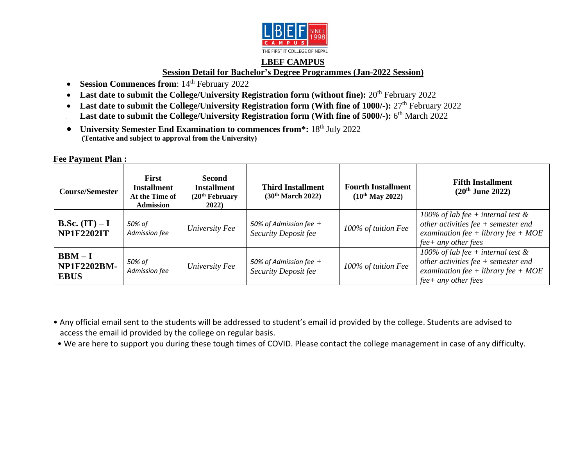

### **LBEF CAMPUS Session Detail for Bachelor's Degree Programmes (Jan-2022 Session)**

- **Session Commences from**:  $14<sup>th</sup>$  February 2022
- Last date to submit the College/University Registration form (without fine): 20<sup>th</sup> February 2022
- Last date to submit the College/University Registration form (With fine of 1000/-): 27<sup>th</sup> February 2022 **Last date to submit the College/University Registration form (With fine of 5000/-):** 6<sup>th</sup> March 2022
- University Semester End Examination to commences from\*: 18<sup>th</sup> July 2022 **(Tentative and subject to approval from the University)**

#### **Fee Payment Plan :**

| <b>Course/Semester</b>                       | <b>First</b><br><b>Installment</b><br>At the Time of<br><b>Admission</b> | <b>Second</b><br><b>Installment</b><br>(20 <sup>th</sup> February<br><b>2022</b> ) | <b>Third Installment</b><br>(30 <sup>th</sup> March 2022) | <b>Fourth Installment</b><br>$(10^{th}$ May 2022) | <b>Fifth Installment</b><br>$(20^{th}$ June 2022)                                                                                               |
|----------------------------------------------|--------------------------------------------------------------------------|------------------------------------------------------------------------------------|-----------------------------------------------------------|---------------------------------------------------|-------------------------------------------------------------------------------------------------------------------------------------------------|
| <b>B.Sc.</b> $(IT) - I$<br><b>NP1F2202IT</b> | 50% of<br>Admission fee                                                  | University Fee                                                                     | 50% of Admission fee $+$<br><b>Security Deposit fee</b>   | 100% of tuition Fee                               | 100% of lab fee + internal test $\&$<br>other activities fee $+$ semester end<br>examination fee + library fee + $MOE$<br>$fee+$ any other fees |
| $BBM-I$<br><b>NP1F2202BM-</b><br><b>EBUS</b> | 50% of<br>Admission fee                                                  | University Fee                                                                     | 50% of Admission fee $+$<br><b>Security Deposit fee</b>   | 100% of tuition Fee                               | 100% of lab fee + internal test $\&$<br>other activities fee $+$ semester end<br>examination fee + library fee + $MOE$<br>$fee+$ any other fees |

• Any official email sent to the students will be addressed to student's email id provided by the college. Students are advised to access the email id provided by the college on regular basis.

• We are here to support you during these tough times of COVID. Please contact the college management in case of any difficulty.